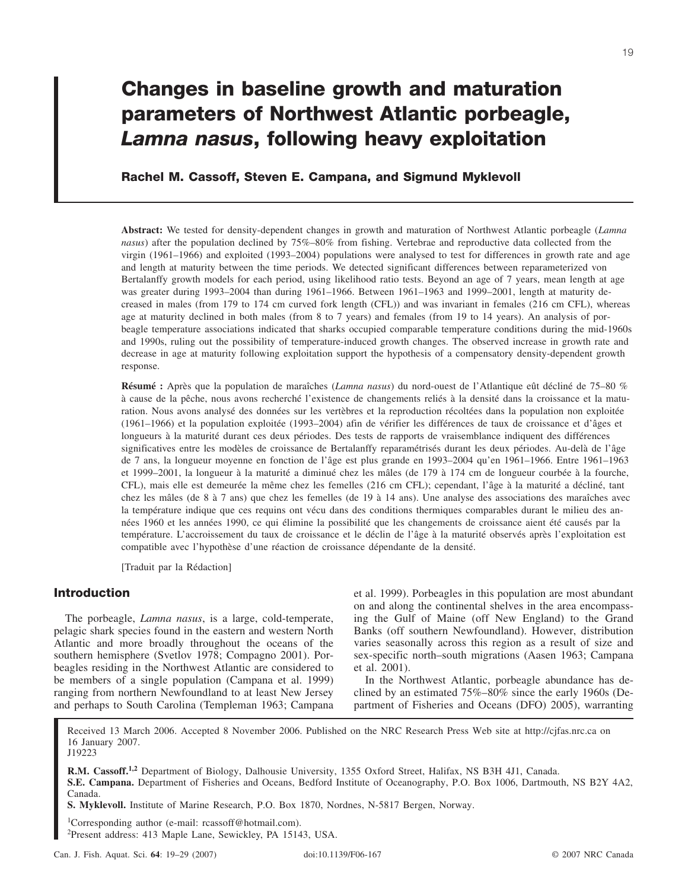# **Changes in baseline growth and maturation parameters of Northwest Atlantic porbeagle,** *Lamna nasus***, following heavy exploitation**

## **Rachel M. Cassoff, Steven E. Campana, and Sigmund Myklevoll**

**Abstract:** We tested for density-dependent changes in growth and maturation of Northwest Atlantic porbeagle (*Lamna nasus*) after the population declined by 75%–80% from fishing. Vertebrae and reproductive data collected from the virgin (1961–1966) and exploited (1993–2004) populations were analysed to test for differences in growth rate and age and length at maturity between the time periods. We detected significant differences between reparameterized von Bertalanffy growth models for each period, using likelihood ratio tests. Beyond an age of 7 years, mean length at age was greater during 1993–2004 than during 1961–1966. Between 1961–1963 and 1999–2001, length at maturity decreased in males (from 179 to 174 cm curved fork length (CFL)) and was invariant in females (216 cm CFL), whereas age at maturity declined in both males (from 8 to 7 years) and females (from 19 to 14 years). An analysis of porbeagle temperature associations indicated that sharks occupied comparable temperature conditions during the mid-1960s and 1990s, ruling out the possibility of temperature-induced growth changes. The observed increase in growth rate and decrease in age at maturity following exploitation support the hypothesis of a compensatory density-dependent growth response.

**Résumé :** Après que la population de maraîches (*Lamna nasus*) du nord-ouest de l'Atlantique eût décliné de 75–80 % à cause de la pêche, nous avons recherché l'existence de changements reliés à la densité dans la croissance et la maturation. Nous avons analysé des données sur les vertèbres et la reproduction récoltées dans la population non exploitée (1961–1966) et la population exploitée (1993–2004) afin de vérifier les différences de taux de croissance et d'âges et longueurs à la maturité durant ces deux périodes. Des tests de rapports de vraisemblance indiquent des différences significatives entre les modèles de croissance de Bertalanffy reparamétrisés durant les deux périodes. Au-delà de l'âge de 7 ans, la longueur moyenne en fonction de l'âge est plus grande en 1993–2004 qu'en 1961–1966. Entre 1961–1963 et 1999–2001, la longueur à la maturité a diminué chez les mâles (de 179 à 174 cm de longueur courbée à la fourche, CFL), mais elle est demeurée la même chez les femelles (216 cm CFL); cependant, l'âge à la maturité a décliné, tant chez les mâles (de8à7 ans) que chez les femelles (de 19 à 14 ans). Une analyse des associations des maraîches avec la température indique que ces requins ont vécu dans des conditions thermiques comparables durant le milieu des années 1960 et les années 1990, ce qui élimine la possibilité que les changements de croissance aient été causés par la température. L'accroissement du taux de croissance et le déclin de l'âge à la maturité observés après l'exploitation est compatible avec l'hypothèse d'une réaction de croissance dépendante de la densité.

[Traduit par la Rédaction]

# **Introduction**

The porbeagle, *Lamna nasus*, is a large, cold-temperate, pelagic shark species found in the eastern and western North Atlantic and more broadly throughout the oceans of the southern hemisphere (Svetlov 1978; Compagno 2001). Porbeagles residing in the Northwest Atlantic are considered to be members of a single population (Campana et al. 1999) ranging from northern Newfoundland to at least New Jersey and perhaps to South Carolina (Templeman 1963; Campana

et al. 1999). Porbeagles in this population are most abundant on and along the continental shelves in the area encompassing the Gulf of Maine (off New England) to the Grand Banks (off southern Newfoundland). However, distribution varies seasonally across this region as a result of size and sex-specific north–south migrations (Aasen 1963; Campana et al. 2001).

In the Northwest Atlantic, porbeagle abundance has declined by an estimated 75%–80% since the early 1960s (Department of Fisheries and Oceans (DFO) 2005), warranting

Received 13 March 2006. Accepted 8 November 2006. Published on the NRC Research Press Web site at http://cjfas.nrc.ca on 16 January 2007.

J19223

**R.M. Cassoff.1,2** Department of Biology, Dalhousie University, 1355 Oxford Street, Halifax, NS B3H 4J1, Canada. **S.E. Campana.** Department of Fisheries and Oceans, Bedford Institute of Oceanography, P.O. Box 1006, Dartmouth, NS B2Y 4A2, Canada.

**S. Myklevoll.** Institute of Marine Research, P.O. Box 1870, Nordnes, N-5817 Bergen, Norway.

1 Corresponding author (e-mail: rcassoff@hotmail.com).

2 Present address: 413 Maple Lane, Sewickley, PA 15143, USA.

19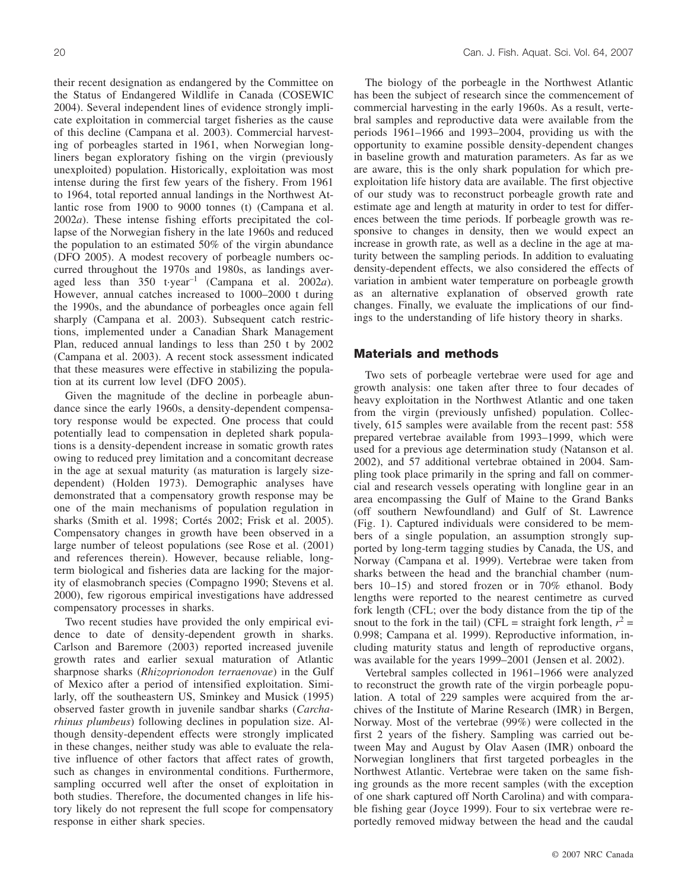their recent designation as endangered by the Committee on the Status of Endangered Wildlife in Canada (COSEWIC 2004). Several independent lines of evidence strongly implicate exploitation in commercial target fisheries as the cause of this decline (Campana et al. 2003). Commercial harvesting of porbeagles started in 1961, when Norwegian longliners began exploratory fishing on the virgin (previously unexploited) population. Historically, exploitation was most intense during the first few years of the fishery. From 1961 to 1964, total reported annual landings in the Northwest Atlantic rose from 1900 to 9000 tonnes (t) (Campana et al. 2002*a*). These intense fishing efforts precipitated the collapse of the Norwegian fishery in the late 1960s and reduced the population to an estimated 50% of the virgin abundance (DFO 2005). A modest recovery of porbeagle numbers occurred throughout the 1970s and 1980s, as landings averaged less than  $350$  t·year<sup>-1</sup> (Campana et al. 2002*a*). However, annual catches increased to 1000–2000 t during the 1990s, and the abundance of porbeagles once again fell sharply (Campana et al. 2003). Subsequent catch restrictions, implemented under a Canadian Shark Management Plan, reduced annual landings to less than 250 t by 2002 (Campana et al. 2003). A recent stock assessment indicated that these measures were effective in stabilizing the population at its current low level (DFO 2005).

Given the magnitude of the decline in porbeagle abundance since the early 1960s, a density-dependent compensatory response would be expected. One process that could potentially lead to compensation in depleted shark populations is a density-dependent increase in somatic growth rates owing to reduced prey limitation and a concomitant decrease in the age at sexual maturity (as maturation is largely sizedependent) (Holden 1973). Demographic analyses have demonstrated that a compensatory growth response may be one of the main mechanisms of population regulation in sharks (Smith et al. 1998; Cortés 2002; Frisk et al. 2005). Compensatory changes in growth have been observed in a large number of teleost populations (see Rose et al. (2001) and references therein). However, because reliable, longterm biological and fisheries data are lacking for the majority of elasmobranch species (Compagno 1990; Stevens et al. 2000), few rigorous empirical investigations have addressed compensatory processes in sharks.

Two recent studies have provided the only empirical evidence to date of density-dependent growth in sharks. Carlson and Baremore (2003) reported increased juvenile growth rates and earlier sexual maturation of Atlantic sharpnose sharks (*Rhizoprionodon terraenovae*) in the Gulf of Mexico after a period of intensified exploitation. Similarly, off the southeastern US, Sminkey and Musick (1995) observed faster growth in juvenile sandbar sharks (*Carcharhinus plumbeus*) following declines in population size. Although density-dependent effects were strongly implicated in these changes, neither study was able to evaluate the relative influence of other factors that affect rates of growth, such as changes in environmental conditions. Furthermore, sampling occurred well after the onset of exploitation in both studies. Therefore, the documented changes in life history likely do not represent the full scope for compensatory response in either shark species.

The biology of the porbeagle in the Northwest Atlantic has been the subject of research since the commencement of commercial harvesting in the early 1960s. As a result, vertebral samples and reproductive data were available from the periods 1961–1966 and 1993–2004, providing us with the opportunity to examine possible density-dependent changes in baseline growth and maturation parameters. As far as we are aware, this is the only shark population for which preexploitation life history data are available. The first objective of our study was to reconstruct porbeagle growth rate and estimate age and length at maturity in order to test for differences between the time periods. If porbeagle growth was responsive to changes in density, then we would expect an increase in growth rate, as well as a decline in the age at maturity between the sampling periods. In addition to evaluating density-dependent effects, we also considered the effects of variation in ambient water temperature on porbeagle growth as an alternative explanation of observed growth rate changes. Finally, we evaluate the implications of our findings to the understanding of life history theory in sharks.

#### **Materials and methods**

Two sets of porbeagle vertebrae were used for age and growth analysis: one taken after three to four decades of heavy exploitation in the Northwest Atlantic and one taken from the virgin (previously unfished) population. Collectively, 615 samples were available from the recent past: 558 prepared vertebrae available from 1993–1999, which were used for a previous age determination study (Natanson et al. 2002), and 57 additional vertebrae obtained in 2004. Sampling took place primarily in the spring and fall on commercial and research vessels operating with longline gear in an area encompassing the Gulf of Maine to the Grand Banks (off southern Newfoundland) and Gulf of St. Lawrence (Fig. 1). Captured individuals were considered to be members of a single population, an assumption strongly supported by long-term tagging studies by Canada, the US, and Norway (Campana et al. 1999). Vertebrae were taken from sharks between the head and the branchial chamber (numbers 10–15) and stored frozen or in 70% ethanol. Body lengths were reported to the nearest centimetre as curved fork length (CFL; over the body distance from the tip of the snout to the fork in the tail) (CFL = straight fork length,  $r^2$  = 0.998; Campana et al. 1999). Reproductive information, including maturity status and length of reproductive organs, was available for the years 1999–2001 (Jensen et al. 2002).

Vertebral samples collected in 1961–1966 were analyzed to reconstruct the growth rate of the virgin porbeagle population. A total of 229 samples were acquired from the archives of the Institute of Marine Research (IMR) in Bergen, Norway. Most of the vertebrae (99%) were collected in the first 2 years of the fishery. Sampling was carried out between May and August by Olav Aasen (IMR) onboard the Norwegian longliners that first targeted porbeagles in the Northwest Atlantic. Vertebrae were taken on the same fishing grounds as the more recent samples (with the exception of one shark captured off North Carolina) and with comparable fishing gear (Joyce 1999). Four to six vertebrae were reportedly removed midway between the head and the caudal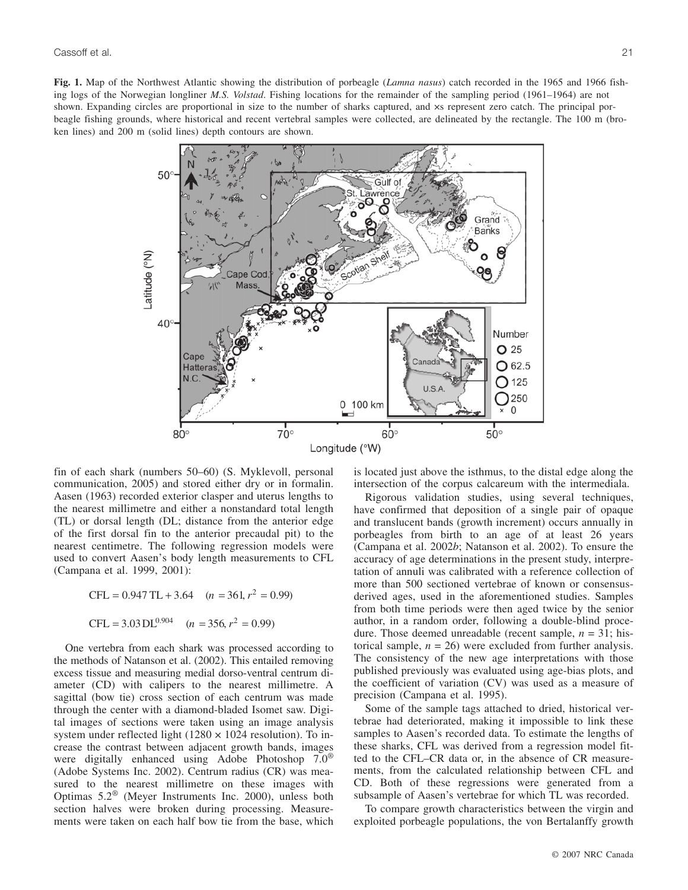**Fig. 1.** Map of the Northwest Atlantic showing the distribution of porbeagle (*Lamna nasus*) catch recorded in the 1965 and 1966 fishing logs of the Norwegian longliner *M.S. Volstad*. Fishing locations for the remainder of the sampling period (1961–1964) are not shown. Expanding circles are proportional in size to the number of sharks captured, and  $\times s$  represent zero catch. The principal porbeagle fishing grounds, where historical and recent vertebral samples were collected, are delineated by the rectangle. The 100 m (broken lines) and 200 m (solid lines) depth contours are shown.



fin of each shark (numbers 50–60) (S. Myklevoll, personal communication, 2005) and stored either dry or in formalin. Aasen (1963) recorded exterior clasper and uterus lengths to the nearest millimetre and either a nonstandard total length (TL) or dorsal length (DL; distance from the anterior edge of the first dorsal fin to the anterior precaudal pit) to the nearest centimetre. The following regression models were used to convert Aasen's body length measurements to CFL (Campana et al. 1999, 2001):

$$
CFL = 0.947 \text{ TL} + 3.64 \quad (n = 361, r^2 = 0.99)
$$

$$
CFL = 3.03 \text{ DL}^{0.904} \quad (n = 356, r^2 = 0.99)
$$

One vertebra from each shark was processed according to the methods of Natanson et al. (2002). This entailed removing excess tissue and measuring medial dorso-ventral centrum diameter (CD) with calipers to the nearest millimetre. A sagittal (bow tie) cross section of each centrum was made through the center with a diamond-bladed Isomet saw. Digital images of sections were taken using an image analysis system under reflected light  $(1280 \times 1024$  resolution). To increase the contrast between adjacent growth bands, images were digitally enhanced using Adobe Photoshop 7.0® (Adobe Systems Inc. 2002). Centrum radius (CR) was measured to the nearest millimetre on these images with Optimas 5.2® (Meyer Instruments Inc. 2000), unless both section halves were broken during processing. Measurements were taken on each half bow tie from the base, which is located just above the isthmus, to the distal edge along the intersection of the corpus calcareum with the intermediala.

Rigorous validation studies, using several techniques, have confirmed that deposition of a single pair of opaque and translucent bands (growth increment) occurs annually in porbeagles from birth to an age of at least 26 years (Campana et al. 2002*b*; Natanson et al. 2002). To ensure the accuracy of age determinations in the present study, interpretation of annuli was calibrated with a reference collection of more than 500 sectioned vertebrae of known or consensusderived ages, used in the aforementioned studies. Samples from both time periods were then aged twice by the senior author, in a random order, following a double-blind procedure. Those deemed unreadable (recent sample, *n* = 31; historical sample,  $n = 26$ ) were excluded from further analysis. The consistency of the new age interpretations with those published previously was evaluated using age-bias plots, and the coefficient of variation (CV) was used as a measure of precision (Campana et al. 1995).

Some of the sample tags attached to dried, historical vertebrae had deteriorated, making it impossible to link these samples to Aasen's recorded data. To estimate the lengths of these sharks, CFL was derived from a regression model fitted to the CFL–CR data or, in the absence of CR measurements, from the calculated relationship between CFL and CD. Both of these regressions were generated from a subsample of Aasen's vertebrae for which TL was recorded.

To compare growth characteristics between the virgin and exploited porbeagle populations, the von Bertalanffy growth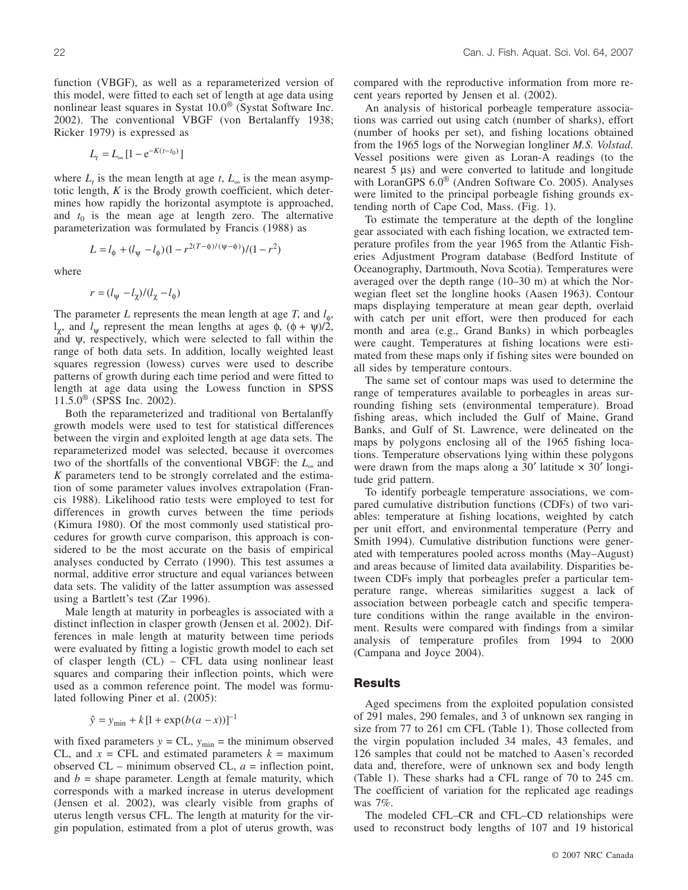function (VBGF), as well as a reparameterized version of this model, were fitted to each set of length at age data using nonlinear least squares in Systat 10.0® (Systat Software Inc. 2002). The conventional VBGF (von Bertalanffy 1938; Ricker 1979) is expressed as

$$
L_t = L_{\infty} \left[ 1 - e^{-K(t - t_0)} \right]
$$

where  $L_t$  is the mean length at age  $t$ ,  $L_{\infty}$  is the mean asymptotic length, *K* is the Brody growth coefficient, which determines how rapidly the horizontal asymptote is approached, and  $t_0$  is the mean age at length zero. The alternative parameterization was formulated by Francis (1988) as

$$
L = l_{\phi} + (l_{\psi} - l_{\phi})(1 - r^{2(T - \phi)/(\psi - \phi)})/(1 - r^2)
$$

where

$$
r = (l_{\psi} - l_{\chi})/(l_{\chi} - l_{\phi})
$$

The parameter *L* represents the mean length at age *T*, and  $l_{\phi}$ , l<sub>γ</sub>, and  $l_\text{w}$  represent the mean lengths at ages  $φ$ ,  $(φ + ψ)/2$ , and  $\psi$ , respectively, which were selected to fall within the range of both data sets. In addition, locally weighted least squares regression (lowess) curves were used to describe patterns of growth during each time period and were fitted to length at age data using the Lowess function in SPSS  $11.5.0$ <sup>®</sup> (SPSS Inc. 2002).

Both the reparameterized and traditional von Bertalanffy growth models were used to test for statistical differences between the virgin and exploited length at age data sets. The reparameterized model was selected, because it overcomes two of the shortfalls of the conventional VBGF: the *L*<sup>∞</sup> and *K* parameters tend to be strongly correlated and the estimation of some parameter values involves extrapolation (Francis 1988). Likelihood ratio tests were employed to test for differences in growth curves between the time periods (Kimura 1980). Of the most commonly used statistical procedures for growth curve comparison, this approach is considered to be the most accurate on the basis of empirical analyses conducted by Cerrato (1990). This test assumes a normal, additive error structure and equal variances between data sets. The validity of the latter assumption was assessed using a Bartlett's test (Zar 1996).

Male length at maturity in porbeagles is associated with a distinct inflection in clasper growth (Jensen et al. 2002). Differences in male length at maturity between time periods were evaluated by fitting a logistic growth model to each set of clasper length (CL) – CFL data using nonlinear least squares and comparing their inflection points, which were used as a common reference point. The model was formulated following Piner et al. (2005):

$$
\hat{y} = y_{\min} + k[1 + \exp(b(a - x))]^{-1}
$$

with fixed parameters  $y = CL$ ,  $y_{min}$  = the minimum observed CL, and  $x = CFL$  and estimated parameters  $k =$  maximum observed CL – minimum observed CL, *a* = inflection point, and  $b =$  shape parameter. Length at female maturity, which corresponds with a marked increase in uterus development (Jensen et al. 2002), was clearly visible from graphs of uterus length versus CFL. The length at maturity for the virgin population, estimated from a plot of uterus growth, was compared with the reproductive information from more recent years reported by Jensen et al. (2002).

An analysis of historical porbeagle temperature associations was carried out using catch (number of sharks), effort (number of hooks per set), and fishing locations obtained from the 1965 logs of the Norwegian longliner *M.S. Volstad*. Vessel positions were given as Loran-A readings (to the nearest 5 µs) and were converted to latitude and longitude with LoranGPS 6.0® (Andren Software Co. 2005). Analyses were limited to the principal porbeagle fishing grounds extending north of Cape Cod, Mass. (Fig. 1).

To estimate the temperature at the depth of the longline gear associated with each fishing location, we extracted temperature profiles from the year 1965 from the Atlantic Fisheries Adjustment Program database (Bedford Institute of Oceanography, Dartmouth, Nova Scotia). Temperatures were averaged over the depth range (10–30 m) at which the Norwegian fleet set the longline hooks (Aasen 1963). Contour maps displaying temperature at mean gear depth, overlaid with catch per unit effort, were then produced for each month and area (e.g., Grand Banks) in which porbeagles were caught. Temperatures at fishing locations were estimated from these maps only if fishing sites were bounded on all sides by temperature contours.

The same set of contour maps was used to determine the range of temperatures available to porbeagles in areas surrounding fishing sets (environmental temperature). Broad fishing areas, which included the Gulf of Maine, Grand Banks, and Gulf of St. Lawrence, were delineated on the maps by polygons enclosing all of the 1965 fishing locations. Temperature observations lying within these polygons were drawn from the maps along a  $30'$  latitude  $\times 30'$  longitude grid pattern.

To identify porbeagle temperature associations, we compared cumulative distribution functions (CDFs) of two variables: temperature at fishing locations, weighted by catch per unit effort, and environmental temperature (Perry and Smith 1994). Cumulative distribution functions were generated with temperatures pooled across months (May–August) and areas because of limited data availability. Disparities between CDFs imply that porbeagles prefer a particular temperature range, whereas similarities suggest a lack of association between porbeagle catch and specific temperature conditions within the range available in the environment. Results were compared with findings from a similar analysis of temperature profiles from 1994 to 2000 (Campana and Joyce 2004).

### **Results**

Aged specimens from the exploited population consisted of 291 males, 290 females, and 3 of unknown sex ranging in size from 77 to 261 cm CFL (Table 1). Those collected from the virgin population included 34 males, 43 females, and 126 samples that could not be matched to Aasen's recorded data and, therefore, were of unknown sex and body length (Table 1). These sharks had a CFL range of 70 to 245 cm. The coefficient of variation for the replicated age readings was 7%.

The modeled CFL–CR and CFL–CD relationships were used to reconstruct body lengths of 107 and 19 historical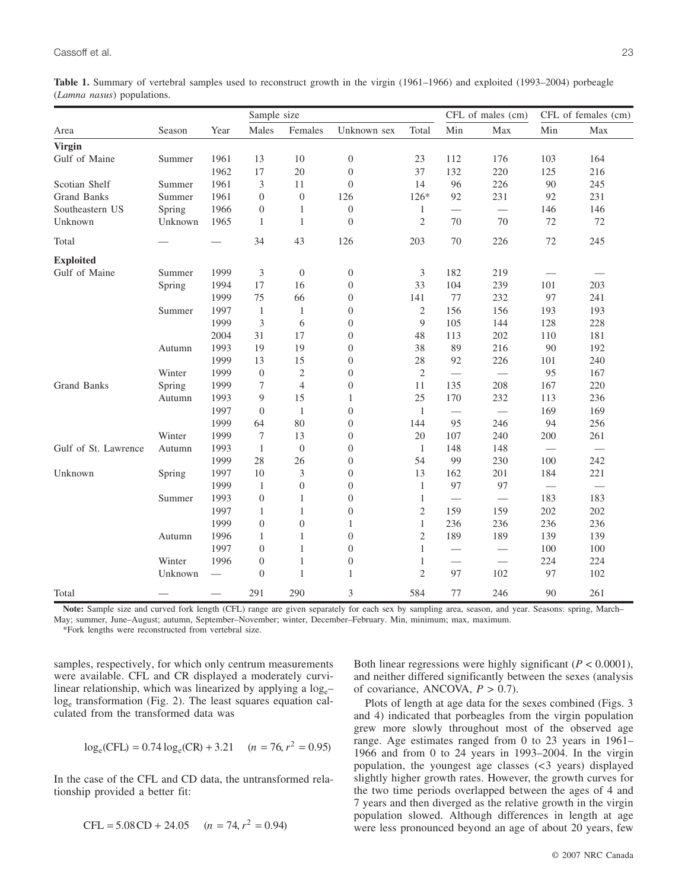**Table 1.** Summary of vertebral samples used to reconstruct growth in the virgin (1961–1966) and exploited (1993–2004) porbeagle (*Lamna nasus*) populations.

|                      | Sample size |      |                  |                  | CFL of males (cm) |                | CFL of females (cm) |     |                                 |     |
|----------------------|-------------|------|------------------|------------------|-------------------|----------------|---------------------|-----|---------------------------------|-----|
| Area                 | Season      | Year | Males            | Females          | Unknown sex       | Total          | Min                 | Max | Min                             | Max |
| <b>Virgin</b>        |             |      |                  |                  |                   |                |                     |     |                                 |     |
| Gulf of Maine        | Summer      | 1961 | 13               | 10               | $\boldsymbol{0}$  | 23             | 112                 | 176 | 103                             | 164 |
|                      |             | 1962 | 17               | 20               | $\boldsymbol{0}$  | 37             | 132                 | 220 | 125                             | 216 |
| Scotian Shelf        | Summer      | 1961 | 3                | 11               | $\boldsymbol{0}$  | 14             | 96                  | 226 | 90                              | 245 |
| Grand Banks          | Summer      | 1961 | $\boldsymbol{0}$ | $\boldsymbol{0}$ | 126               | 126*           | 92                  | 231 | 92                              | 231 |
| Southeastern US      | Spring      | 1966 | $\boldsymbol{0}$ | 1                | $\boldsymbol{0}$  | $\mathbf{1}$   |                     |     | 146                             | 146 |
| Unknown              | Unknown     | 1965 | $\mathbf{1}$     | $\mathbf{1}$     | $\overline{0}$    | $\overline{2}$ | 70                  | 70  | 72                              | 72  |
| Total                |             |      | 34               | 43               | 126               | 203            | 70                  | 226 | 72                              | 245 |
| <b>Exploited</b>     |             |      |                  |                  |                   |                |                     |     |                                 |     |
| Gulf of Maine        | Summer      | 1999 | 3                | $\mathbf{0}$     | $\boldsymbol{0}$  | 3              | 182                 | 219 |                                 |     |
|                      | Spring      | 1994 | 17               | 16               | $\boldsymbol{0}$  | 33             | 104                 | 239 | 101                             | 203 |
|                      |             | 1999 | 75               | 66               | $\boldsymbol{0}$  | 141            | 77                  | 232 | 97                              | 241 |
|                      | Summer      | 1997 | $\mathbf{1}$     | $\,1\,$          | $\boldsymbol{0}$  | $\sqrt{2}$     | 156                 | 156 | 193                             | 193 |
|                      |             | 1999 | $\overline{3}$   | 6                | $\boldsymbol{0}$  | 9              | 105                 | 144 | 128                             | 228 |
|                      |             | 2004 | 31               | 17               | $\boldsymbol{0}$  | 48             | 113                 | 202 | 110                             | 181 |
|                      | Autumn      | 1993 | 19               | 19               | $\boldsymbol{0}$  | 38             | 89                  | 216 | 90                              | 192 |
|                      |             | 1999 | 13               | 15               | $\boldsymbol{0}$  | 28             | 92                  | 226 | 101                             | 240 |
|                      | Winter      | 1999 | $\overline{0}$   | $\overline{c}$   | $\boldsymbol{0}$  | $\mathfrak{2}$ |                     |     | 95                              | 167 |
| <b>Grand Banks</b>   | Spring      | 1999 | 7                | $\overline{4}$   | $\boldsymbol{0}$  | 11             | 135                 | 208 | 167                             | 220 |
|                      | Autumn      | 1993 | 9                | 15               | $\mathbf{1}$      | 25             | 170                 | 232 | 113                             | 236 |
|                      |             | 1997 | $\overline{0}$   | $\mathbf{1}$     | $\boldsymbol{0}$  | 1              | $\qquad \qquad$     |     | 169                             | 169 |
|                      |             | 1999 | 64               | 80               | $\boldsymbol{0}$  | 144            | 95                  | 246 | 94                              | 256 |
|                      | Winter      | 1999 | 7                | 13               | $\boldsymbol{0}$  | 20             | 107                 | 240 | 200                             | 261 |
| Gulf of St. Lawrence | Autumn      | 1993 | $\mathbf{1}$     | $\boldsymbol{0}$ | $\boldsymbol{0}$  | $\mathbf{1}$   | 148                 | 148 | $\qquad \qquad$                 |     |
|                      |             | 1999 | 28               | 26               | $\boldsymbol{0}$  | 54             | 99                  | 230 | 100                             | 242 |
| Unknown              | Spring      | 1997 | 10               | 3                | $\boldsymbol{0}$  | 13             | 162                 | 201 | 184                             | 221 |
|                      |             | 1999 | $\mathbf{1}$     | $\boldsymbol{0}$ | $\boldsymbol{0}$  | $\mathbf{1}$   | 97                  | 97  | $\overbrace{\qquad \qquad }^{}$ |     |
|                      | Summer      | 1993 | $\boldsymbol{0}$ | $\mathbf{1}$     | $\boldsymbol{0}$  | $\mathbf{1}$   |                     |     | 183                             | 183 |
|                      |             | 1997 | $\mathbf{1}$     | $\mathbf{1}$     | $\boldsymbol{0}$  | $\mathfrak{2}$ | 159                 | 159 | 202                             | 202 |
|                      |             | 1999 | $\overline{0}$   | $\boldsymbol{0}$ | 1                 | $\mathbf{1}$   | 236                 | 236 | 236                             | 236 |
|                      | Autumn      | 1996 | $\mathbf{1}$     | $\mathbf{1}$     | $\boldsymbol{0}$  | $\overline{2}$ | 189                 | 189 | 139                             | 139 |
|                      |             | 1997 | $\overline{0}$   | $\,1$            | $\boldsymbol{0}$  | $\mathbf{1}$   |                     |     | 100                             | 100 |
|                      | Winter      | 1996 | $\overline{0}$   | $\mathbf{1}$     | $\boldsymbol{0}$  | $\mathbf{1}$   |                     |     | 224                             | 224 |
|                      | Unknown     |      | $\overline{0}$   | $\,1\,$          | $\mathbf{1}$      | $\overline{2}$ | 97                  | 102 | 97                              | 102 |
| Total                |             |      | 291              | 290              | 3                 | 584            | 77                  | 246 | 90                              | 261 |

**Note:** Sample size and curved fork length (CFL) range are given separately for each sex by sampling area, season, and year. Seasons: spring, March– May; summer, June–August; autumn, September–November; winter, December–February. Min, minimum; max, maximum.

\*Fork lengths were reconstructed from vertebral size.

samples, respectively, for which only centrum measurements were available. CFL and CR displayed a moderately curvilinear relationship, which was linearized by applying a log<sub>e</sub>loge transformation (Fig. 2). The least squares equation calculated from the transformed data was

$$
\log_e(\text{CFL}) = 0.74 \log_e(\text{CR}) + 3.21 \quad (n = 76, r^2 = 0.95)
$$

In the case of the CFL and CD data, the untransformed relationship provided a better fit:

$$
CFL = 5.08 \, CD + 24.05 \quad (n = 74, r^2 = 0.94)
$$

Both linear regressions were highly significant  $(P < 0.0001)$ , and neither differed significantly between the sexes (analysis of covariance, ANCOVA, *P* > 0.7).

Plots of length at age data for the sexes combined (Figs. 3 and 4) indicated that porbeagles from the virgin population grew more slowly throughout most of the observed age range. Age estimates ranged from 0 to 23 years in 1961– 1966 and from 0 to 24 years in 1993–2004. In the virgin population, the youngest age classes (<3 years) displayed slightly higher growth rates. However, the growth curves for the two time periods overlapped between the ages of 4 and 7 years and then diverged as the relative growth in the virgin population slowed. Although differences in length at age were less pronounced beyond an age of about 20 years, few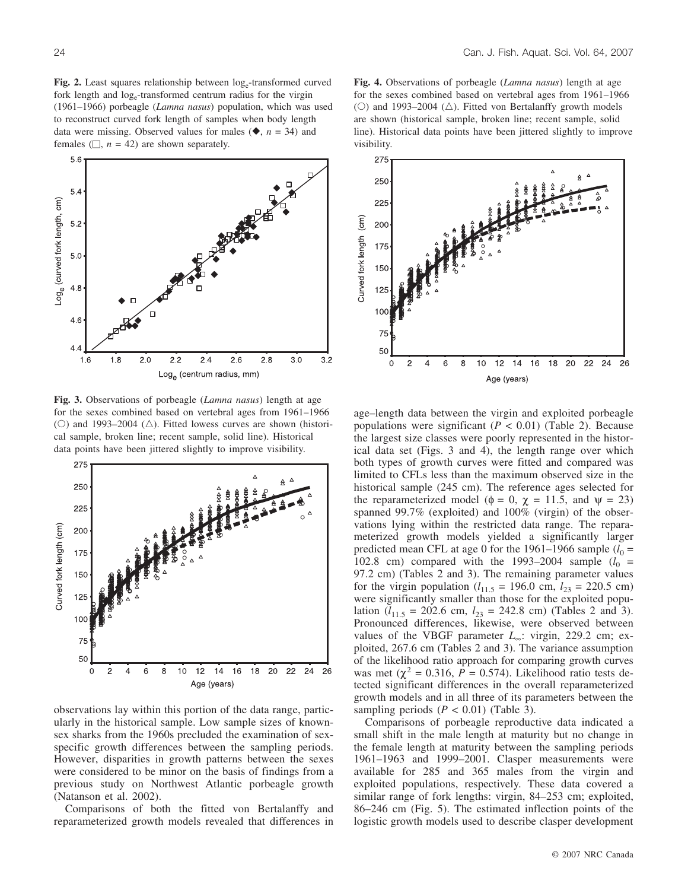Fig. 2. Least squares relationship between  $log_e$ -transformed curved fork length and log<sub>e</sub>-transformed centrum radius for the virgin (1961–1966) porbeagle (*Lamna nasus*) population, which was used to reconstruct curved fork length of samples when body length data were missing. Observed values for males  $(\blacklozenge, n = 34)$  and females  $(\square, n = 42)$  are shown separately.



**Fig. 3.** Observations of porbeagle (*Lamna nasus*) length at age for the sexes combined based on vertebral ages from 1961–1966 (O) and 1993–2004 ( $\triangle$ ). Fitted lowess curves are shown (historical sample, broken line; recent sample, solid line). Historical data points have been jittered slightly to improve visibility.



observations lay within this portion of the data range, particularly in the historical sample. Low sample sizes of knownsex sharks from the 1960s precluded the examination of sexspecific growth differences between the sampling periods. However, disparities in growth patterns between the sexes were considered to be minor on the basis of findings from a previous study on Northwest Atlantic porbeagle growth (Natanson et al. 2002).

Comparisons of both the fitted von Bertalanffy and reparameterized growth models revealed that differences in

**Fig. 4.** Observations of porbeagle (*Lamna nasus*) length at age for the sexes combined based on vertebral ages from 1961–1966 (O) and 1993–2004 ( $\triangle$ ). Fitted von Bertalanffy growth models are shown (historical sample, broken line; recent sample, solid line). Historical data points have been jittered slightly to improve visibility.



age–length data between the virgin and exploited porbeagle populations were significant  $(P < 0.01)$  (Table 2). Because the largest size classes were poorly represented in the historical data set (Figs. 3 and 4), the length range over which both types of growth curves were fitted and compared was limited to CFLs less than the maximum observed size in the historical sample (245 cm). The reference ages selected for the reparameterized model ( $\phi = 0$ ,  $\chi = 11.5$ , and  $\psi = 23$ ) spanned 99.7% (exploited) and 100% (virgin) of the observations lying within the restricted data range. The reparameterized growth models yielded a significantly larger predicted mean CFL at age 0 for the 1961–1966 sample  $(l_0 =$ 102.8 cm) compared with the 1993–2004 sample  $(l_0 =$ 97.2 cm) (Tables 2 and 3). The remaining parameter values for the virgin population ( $l_{11.5}$  = 196.0 cm,  $l_{23}$  = 220.5 cm) were significantly smaller than those for the exploited population ( $l_{11.5}$  = 202.6 cm,  $l_{23}$  = 242.8 cm) (Tables 2 and 3). Pronounced differences, likewise, were observed between values of the VBGF parameter *L*∞: virgin, 229.2 cm; exploited, 267.6 cm (Tables 2 and 3). The variance assumption of the likelihood ratio approach for comparing growth curves was met ( $\chi^2$  = 0.316, *P* = 0.574). Likelihood ratio tests detected significant differences in the overall reparameterized growth models and in all three of its parameters between the sampling periods  $(P < 0.01)$  (Table 3).

Comparisons of porbeagle reproductive data indicated a small shift in the male length at maturity but no change in the female length at maturity between the sampling periods 1961–1963 and 1999–2001. Clasper measurements were available for 285 and 365 males from the virgin and exploited populations, respectively. These data covered a similar range of fork lengths: virgin, 84–253 cm; exploited, 86–246 cm (Fig. 5). The estimated inflection points of the logistic growth models used to describe clasper development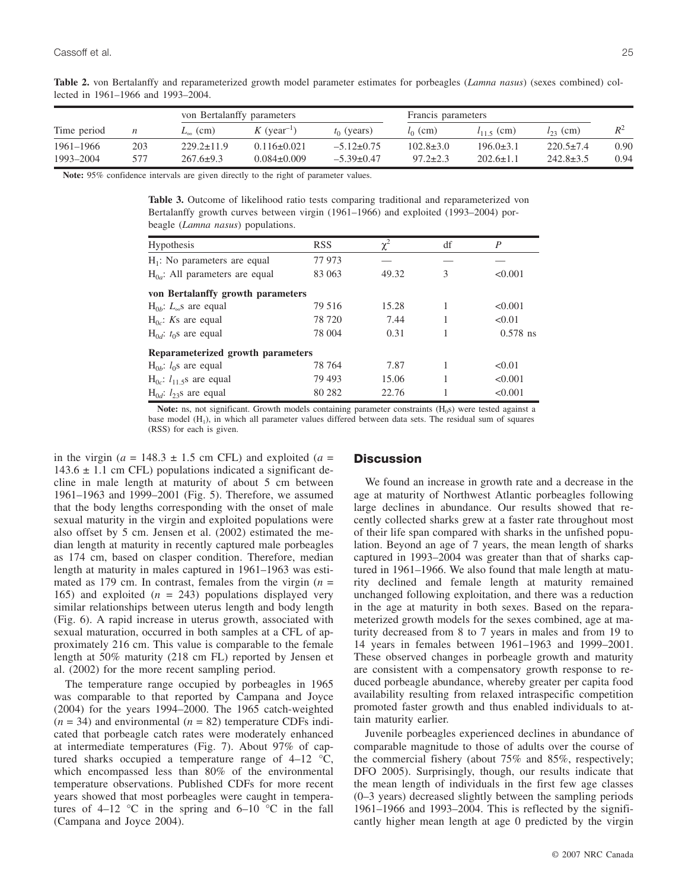|             |     | von Bertalanffy parameters |                           |                  | Francis parameters |                 |                 |      |
|-------------|-----|----------------------------|---------------------------|------------------|--------------------|-----------------|-----------------|------|
| Time period | n   | $L_{\infty}$ (cm)          | $K$ (year <sup>-1</sup> ) | $t_0$ (years)    | $l_0$ (cm)         | $l_{11}$ s (cm) | $l_{23}$ (cm)   |      |
| 1961-1966   | 203 | $229.2 \pm 11.9$           | $0.116 \pm 0.021$         | $-5.12 \pm 0.75$ | $102.8 \pm 3.0$    | $196.0 \pm 3.1$ | $220.5 \pm 7.4$ | 0.90 |
| 1993-2004   | 577 | $267.6 \pm 9.3$            | $0.084 \pm 0.009$         | $-5.39\pm0.47$   | $97.2 \pm 2.3$     | $202.6 \pm 1.1$ | $242.8 \pm 3.5$ | 0.94 |

**Table 2.** von Bertalanffy and reparameterized growth model parameter estimates for porbeagles (*Lamna nasus*) (sexes combined) collected in 1961–1966 and 1993–2004.

**Note:** 95% confidence intervals are given directly to the right of parameter values.

**Table 3.** Outcome of likelihood ratio tests comparing traditional and reparameterized von Bertalanffy growth curves between virgin (1961–1966) and exploited (1993–2004) porbeagle (*Lamna nasus*) populations.

| <b>Hypothesis</b>                   | <b>RSS</b> | $\chi^2$ | df | P          |  |  |  |  |  |
|-------------------------------------|------------|----------|----|------------|--|--|--|--|--|
| $H_1$ : No parameters are equal     | 77 973     |          |    |            |  |  |  |  |  |
| $H_{0a}$ : All parameters are equal | 83 063     | 49.32    | 3  | < 0.001    |  |  |  |  |  |
| von Bertalanffy growth parameters   |            |          |    |            |  |  |  |  |  |
| $H_{0h}$ : $L_{\infty}$ s are equal | 79.516     | 15.28    |    | < 0.001    |  |  |  |  |  |
| $H_{0c}$ : Ks are equal             | 78 720     | 7.44     |    | < 0.01     |  |  |  |  |  |
| $H_{0d}$ : $t_0$ s are equal        | 78 004     | 0.31     |    | $0.578$ ns |  |  |  |  |  |
| Reparameterized growth parameters   |            |          |    |            |  |  |  |  |  |
| $H_{0b}$ : $l_0$ s are equal        | 78 764     | 7.87     |    | < 0.01     |  |  |  |  |  |
| $H_{0c}$ : $l_{11.5}$ s are equal   | 79 493     | 15.06    |    | < 0.001    |  |  |  |  |  |
| $H_{0d}$ : $l_{23}$ s are equal     | 80 282     | 22.76    |    | < 0.001    |  |  |  |  |  |

**Note:** ns, not significant. Growth models containing parameter constraints (H<sub>0</sub>s) were tested against a base model  $(H_1)$ , in which all parameter values differed between data sets. The residual sum of squares (RSS) for each is given.

in the virgin ( $a = 148.3 \pm 1.5$  cm CFL) and exploited ( $a =$  $143.6 \pm 1.1$  cm CFL) populations indicated a significant decline in male length at maturity of about 5 cm between 1961–1963 and 1999–2001 (Fig. 5). Therefore, we assumed that the body lengths corresponding with the onset of male sexual maturity in the virgin and exploited populations were also offset by 5 cm. Jensen et al. (2002) estimated the median length at maturity in recently captured male porbeagles as 174 cm, based on clasper condition. Therefore, median length at maturity in males captured in 1961–1963 was estimated as 179 cm. In contrast, females from the virgin (*n* = 165) and exploited  $(n = 243)$  populations displayed very similar relationships between uterus length and body length (Fig. 6). A rapid increase in uterus growth, associated with sexual maturation, occurred in both samples at a CFL of approximately 216 cm. This value is comparable to the female length at 50% maturity (218 cm FL) reported by Jensen et al. (2002) for the more recent sampling period.

The temperature range occupied by porbeagles in 1965 was comparable to that reported by Campana and Joyce (2004) for the years 1994–2000. The 1965 catch-weighted  $(n = 34)$  and environmental  $(n = 82)$  temperature CDFs indicated that porbeagle catch rates were moderately enhanced at intermediate temperatures (Fig. 7). About 97% of captured sharks occupied a temperature range of 4–12 °C, which encompassed less than 80% of the environmental temperature observations. Published CDFs for more recent years showed that most porbeagles were caught in temperatures of 4–12  $\degree$ C in the spring and 6–10  $\degree$ C in the fall (Campana and Joyce 2004).

#### **Discussion**

We found an increase in growth rate and a decrease in the age at maturity of Northwest Atlantic porbeagles following large declines in abundance. Our results showed that recently collected sharks grew at a faster rate throughout most of their life span compared with sharks in the unfished population. Beyond an age of 7 years, the mean length of sharks captured in 1993–2004 was greater than that of sharks captured in 1961–1966. We also found that male length at maturity declined and female length at maturity remained unchanged following exploitation, and there was a reduction in the age at maturity in both sexes. Based on the reparameterized growth models for the sexes combined, age at maturity decreased from 8 to 7 years in males and from 19 to 14 years in females between 1961–1963 and 1999–2001. These observed changes in porbeagle growth and maturity are consistent with a compensatory growth response to reduced porbeagle abundance, whereby greater per capita food availability resulting from relaxed intraspecific competition promoted faster growth and thus enabled individuals to attain maturity earlier.

Juvenile porbeagles experienced declines in abundance of comparable magnitude to those of adults over the course of the commercial fishery (about 75% and 85%, respectively; DFO 2005). Surprisingly, though, our results indicate that the mean length of individuals in the first few age classes (0–3 years) decreased slightly between the sampling periods 1961–1966 and 1993–2004. This is reflected by the significantly higher mean length at age 0 predicted by the virgin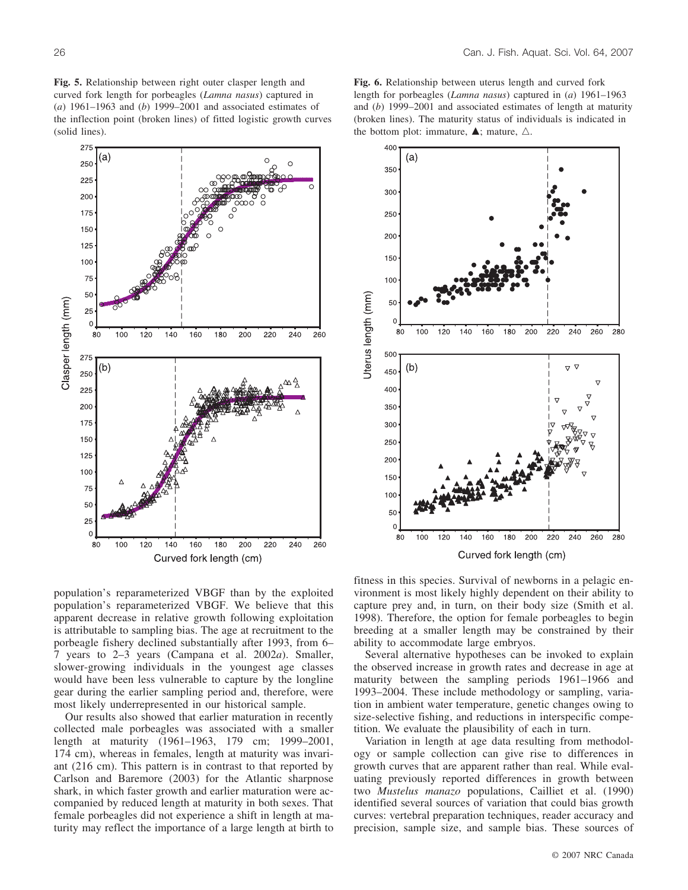**Fig. 5.** Relationship between right outer clasper length and curved fork length for porbeagles (*Lamna nasus*) captured in (*a*) 1961–1963 and (*b*) 1999–2001 and associated estimates of the inflection point (broken lines) of fitted logistic growth curves (solid lines).



**Fig. 6.** Relationship between uterus length and curved fork length for porbeagles (*Lamna nasus*) captured in (*a*) 1961–1963 and (*b*) 1999–2001 and associated estimates of length at maturity (broken lines). The maturity status of individuals is indicated in the bottom plot: immature,  $\blacktriangle$ ; mature,  $\triangle$ .



population's reparameterized VBGF than by the exploited population's reparameterized VBGF. We believe that this apparent decrease in relative growth following exploitation is attributable to sampling bias. The age at recruitment to the porbeagle fishery declined substantially after 1993, from 6– 7 years to 2–3 years (Campana et al. 2002*a*). Smaller, slower-growing individuals in the youngest age classes would have been less vulnerable to capture by the longline gear during the earlier sampling period and, therefore, were most likely underrepresented in our historical sample.

Our results also showed that earlier maturation in recently collected male porbeagles was associated with a smaller length at maturity (1961–1963, 179 cm; 1999–2001, 174 cm), whereas in females, length at maturity was invariant (216 cm). This pattern is in contrast to that reported by Carlson and Baremore (2003) for the Atlantic sharpnose shark, in which faster growth and earlier maturation were accompanied by reduced length at maturity in both sexes. That female porbeagles did not experience a shift in length at maturity may reflect the importance of a large length at birth to fitness in this species. Survival of newborns in a pelagic environment is most likely highly dependent on their ability to capture prey and, in turn, on their body size (Smith et al. 1998). Therefore, the option for female porbeagles to begin breeding at a smaller length may be constrained by their ability to accommodate large embryos.

Several alternative hypotheses can be invoked to explain the observed increase in growth rates and decrease in age at maturity between the sampling periods 1961–1966 and 1993–2004. These include methodology or sampling, variation in ambient water temperature, genetic changes owing to size-selective fishing, and reductions in interspecific competition. We evaluate the plausibility of each in turn.

Variation in length at age data resulting from methodology or sample collection can give rise to differences in growth curves that are apparent rather than real. While evaluating previously reported differences in growth between two *Mustelus manazo* populations, Cailliet et al. (1990) identified several sources of variation that could bias growth curves: vertebral preparation techniques, reader accuracy and precision, sample size, and sample bias. These sources of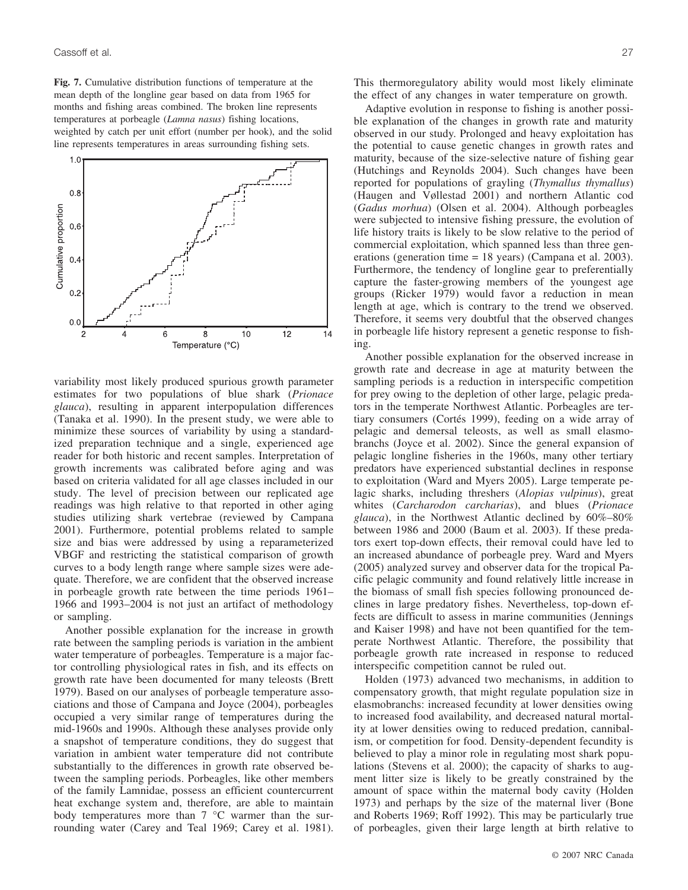**Fig. 7.** Cumulative distribution functions of temperature at the mean depth of the longline gear based on data from 1965 for months and fishing areas combined. The broken line represents temperatures at porbeagle (*Lamna nasus*) fishing locations, weighted by catch per unit effort (number per hook), and the solid line represents temperatures in areas surrounding fishing sets.



variability most likely produced spurious growth parameter estimates for two populations of blue shark (*Prionace glauca*), resulting in apparent interpopulation differences (Tanaka et al. 1990). In the present study, we were able to minimize these sources of variability by using a standardized preparation technique and a single, experienced age reader for both historic and recent samples. Interpretation of growth increments was calibrated before aging and was based on criteria validated for all age classes included in our study. The level of precision between our replicated age readings was high relative to that reported in other aging studies utilizing shark vertebrae (reviewed by Campana 2001). Furthermore, potential problems related to sample size and bias were addressed by using a reparameterized VBGF and restricting the statistical comparison of growth curves to a body length range where sample sizes were adequate. Therefore, we are confident that the observed increase in porbeagle growth rate between the time periods 1961– 1966 and 1993–2004 is not just an artifact of methodology or sampling.

Another possible explanation for the increase in growth rate between the sampling periods is variation in the ambient water temperature of porbeagles. Temperature is a major factor controlling physiological rates in fish, and its effects on growth rate have been documented for many teleosts (Brett 1979). Based on our analyses of porbeagle temperature associations and those of Campana and Joyce (2004), porbeagles occupied a very similar range of temperatures during the mid-1960s and 1990s. Although these analyses provide only a snapshot of temperature conditions, they do suggest that variation in ambient water temperature did not contribute substantially to the differences in growth rate observed between the sampling periods. Porbeagles, like other members of the family Lamnidae, possess an efficient countercurrent heat exchange system and, therefore, are able to maintain body temperatures more than  $7 \degree C$  warmer than the surrounding water (Carey and Teal 1969; Carey et al. 1981). This thermoregulatory ability would most likely eliminate the effect of any changes in water temperature on growth.

Adaptive evolution in response to fishing is another possible explanation of the changes in growth rate and maturity observed in our study. Prolonged and heavy exploitation has the potential to cause genetic changes in growth rates and maturity, because of the size-selective nature of fishing gear (Hutchings and Reynolds 2004). Such changes have been reported for populations of grayling (*Thymallus thymallus*) (Haugen and Vøllestad 2001) and northern Atlantic cod (*Gadus morhua*) (Olsen et al. 2004). Although porbeagles were subjected to intensive fishing pressure, the evolution of life history traits is likely to be slow relative to the period of commercial exploitation, which spanned less than three generations (generation time = 18 years) (Campana et al. 2003). Furthermore, the tendency of longline gear to preferentially capture the faster-growing members of the youngest age groups (Ricker 1979) would favor a reduction in mean length at age, which is contrary to the trend we observed. Therefore, it seems very doubtful that the observed changes in porbeagle life history represent a genetic response to fishing.

Another possible explanation for the observed increase in growth rate and decrease in age at maturity between the sampling periods is a reduction in interspecific competition for prey owing to the depletion of other large, pelagic predators in the temperate Northwest Atlantic. Porbeagles are tertiary consumers (Cortés 1999), feeding on a wide array of pelagic and demersal teleosts, as well as small elasmobranchs (Joyce et al. 2002). Since the general expansion of pelagic longline fisheries in the 1960s, many other tertiary predators have experienced substantial declines in response to exploitation (Ward and Myers 2005). Large temperate pelagic sharks, including threshers (*Alopias vulpinus*), great whites (*Carcharodon carcharias*), and blues (*Prionace glauca*), in the Northwest Atlantic declined by 60%–80% between 1986 and 2000 (Baum et al. 2003). If these predators exert top-down effects, their removal could have led to an increased abundance of porbeagle prey. Ward and Myers (2005) analyzed survey and observer data for the tropical Pacific pelagic community and found relatively little increase in the biomass of small fish species following pronounced declines in large predatory fishes. Nevertheless, top-down effects are difficult to assess in marine communities (Jennings and Kaiser 1998) and have not been quantified for the temperate Northwest Atlantic. Therefore, the possibility that porbeagle growth rate increased in response to reduced interspecific competition cannot be ruled out.

Holden (1973) advanced two mechanisms, in addition to compensatory growth, that might regulate population size in elasmobranchs: increased fecundity at lower densities owing to increased food availability, and decreased natural mortality at lower densities owing to reduced predation, cannibalism, or competition for food. Density-dependent fecundity is believed to play a minor role in regulating most shark populations (Stevens et al. 2000); the capacity of sharks to augment litter size is likely to be greatly constrained by the amount of space within the maternal body cavity (Holden 1973) and perhaps by the size of the maternal liver (Bone and Roberts 1969; Roff 1992). This may be particularly true of porbeagles, given their large length at birth relative to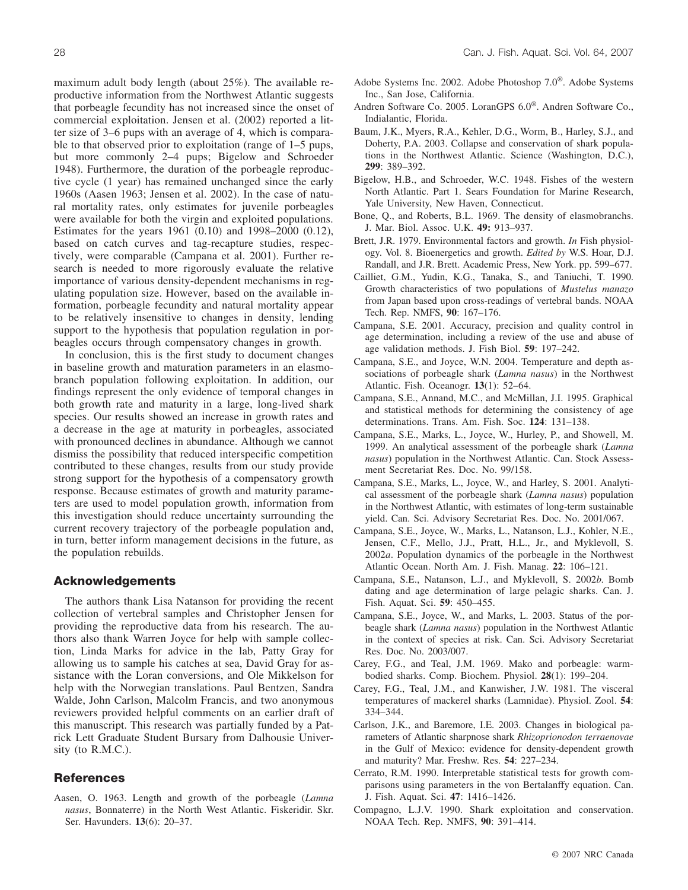maximum adult body length (about 25%). The available reproductive information from the Northwest Atlantic suggests that porbeagle fecundity has not increased since the onset of commercial exploitation. Jensen et al. (2002) reported a litter size of 3–6 pups with an average of 4, which is comparable to that observed prior to exploitation (range of 1–5 pups, but more commonly 2–4 pups; Bigelow and Schroeder 1948). Furthermore, the duration of the porbeagle reproductive cycle (1 year) has remained unchanged since the early 1960s (Aasen 1963; Jensen et al. 2002). In the case of natural mortality rates, only estimates for juvenile porbeagles were available for both the virgin and exploited populations. Estimates for the years 1961 (0.10) and 1998–2000 (0.12), based on catch curves and tag-recapture studies, respectively, were comparable (Campana et al. 2001). Further research is needed to more rigorously evaluate the relative importance of various density-dependent mechanisms in regulating population size. However, based on the available information, porbeagle fecundity and natural mortality appear to be relatively insensitive to changes in density, lending support to the hypothesis that population regulation in porbeagles occurs through compensatory changes in growth.

In conclusion, this is the first study to document changes in baseline growth and maturation parameters in an elasmobranch population following exploitation. In addition, our findings represent the only evidence of temporal changes in both growth rate and maturity in a large, long-lived shark species. Our results showed an increase in growth rates and a decrease in the age at maturity in porbeagles, associated with pronounced declines in abundance. Although we cannot dismiss the possibility that reduced interspecific competition contributed to these changes, results from our study provide strong support for the hypothesis of a compensatory growth response. Because estimates of growth and maturity parameters are used to model population growth, information from this investigation should reduce uncertainty surrounding the current recovery trajectory of the porbeagle population and, in turn, better inform management decisions in the future, as the population rebuilds.

## **Acknowledgements**

The authors thank Lisa Natanson for providing the recent collection of vertebral samples and Christopher Jensen for providing the reproductive data from his research. The authors also thank Warren Joyce for help with sample collection, Linda Marks for advice in the lab, Patty Gray for allowing us to sample his catches at sea, David Gray for assistance with the Loran conversions, and Ole Mikkelson for help with the Norwegian translations. Paul Bentzen, Sandra Walde, John Carlson, Malcolm Francis, and two anonymous reviewers provided helpful comments on an earlier draft of this manuscript. This research was partially funded by a Patrick Lett Graduate Student Bursary from Dalhousie University (to R.M.C.).

# **References**

Aasen, O. 1963. Length and growth of the porbeagle (*Lamna nasus*, Bonnaterre) in the North West Atlantic. Fiskeridir. Skr. Ser. Havunders. **13**(6): 20–37.

- Adobe Systems Inc. 2002. Adobe Photoshop 7.0®. Adobe Systems Inc., San Jose, California.
- Andren Software Co. 2005. LoranGPS 6.0®. Andren Software Co., Indialantic, Florida.
- Baum, J.K., Myers, R.A., Kehler, D.G., Worm, B., Harley, S.J., and Doherty, P.A. 2003. Collapse and conservation of shark populations in the Northwest Atlantic. Science (Washington, D.C.), **299**: 389–392.
- Bigelow, H.B., and Schroeder, W.C. 1948. Fishes of the western North Atlantic. Part 1. Sears Foundation for Marine Research, Yale University, New Haven, Connecticut.
- Bone, Q., and Roberts, B.L. 1969. The density of elasmobranchs. J. Mar. Biol. Assoc. U.K. **49:** 913–937.
- Brett, J.R. 1979. Environmental factors and growth. *In* Fish physiology. Vol. 8. Bioenergetics and growth. *Edited by* W.S. Hoar, D.J. Randall, and J.R. Brett. Academic Press, New York. pp. 599–677.
- Cailliet, G.M., Yudin, K.G., Tanaka, S., and Taniuchi, T. 1990. Growth characteristics of two populations of *Mustelus manazo* from Japan based upon cross-readings of vertebral bands. NOAA Tech. Rep. NMFS, **90**: 167–176.
- Campana, S.E. 2001. Accuracy, precision and quality control in age determination, including a review of the use and abuse of age validation methods. J. Fish Biol. **59**: 197–242.
- Campana, S.E., and Joyce, W.N. 2004. Temperature and depth associations of porbeagle shark (*Lamna nasus*) in the Northwest Atlantic. Fish. Oceanogr. **13**(1): 52–64.
- Campana, S.E., Annand, M.C., and McMillan, J.I. 1995. Graphical and statistical methods for determining the consistency of age determinations. Trans. Am. Fish. Soc. **124**: 131–138.
- Campana, S.E., Marks, L., Joyce, W., Hurley, P., and Showell, M. 1999. An analytical assessment of the porbeagle shark (*Lamna nasus*) population in the Northwest Atlantic. Can. Stock Assessment Secretariat Res. Doc. No. 99/158.
- Campana, S.E., Marks, L., Joyce, W., and Harley, S. 2001. Analytical assessment of the porbeagle shark (*Lamna nasus*) population in the Northwest Atlantic, with estimates of long-term sustainable yield. Can. Sci. Advisory Secretariat Res. Doc. No. 2001/067.
- Campana, S.E., Joyce, W., Marks, L., Natanson, L.J., Kohler, N.E., Jensen, C.F., Mello, J.J., Pratt, H.L., Jr., and Myklevoll, S. 2002*a*. Population dynamics of the porbeagle in the Northwest Atlantic Ocean. North Am. J. Fish. Manag. **22**: 106–121.
- Campana, S.E., Natanson, L.J., and Myklevoll, S. 2002*b*. Bomb dating and age determination of large pelagic sharks. Can. J. Fish. Aquat. Sci. **59**: 450–455.
- Campana, S.E., Joyce, W., and Marks, L. 2003. Status of the porbeagle shark (*Lamna nasus*) population in the Northwest Atlantic in the context of species at risk. Can. Sci. Advisory Secretariat Res. Doc. No. 2003/007.
- Carey, F.G., and Teal, J.M. 1969. Mako and porbeagle: warmbodied sharks. Comp. Biochem. Physiol. **28**(1): 199–204.
- Carey, F.G., Teal, J.M., and Kanwisher, J.W. 1981. The visceral temperatures of mackerel sharks (Lamnidae). Physiol. Zool. **54**: 334–344.
- Carlson, J.K., and Baremore, I.E. 2003. Changes in biological parameters of Atlantic sharpnose shark *Rhizoprionodon terraenovae* in the Gulf of Mexico: evidence for density-dependent growth and maturity? Mar. Freshw. Res. **54**: 227–234.
- Cerrato, R.M. 1990. Interpretable statistical tests for growth comparisons using parameters in the von Bertalanffy equation. Can. J. Fish. Aquat. Sci. **47**: 1416–1426.
- Compagno, L.J.V. 1990. Shark exploitation and conservation. NOAA Tech. Rep. NMFS, **90**: 391–414.